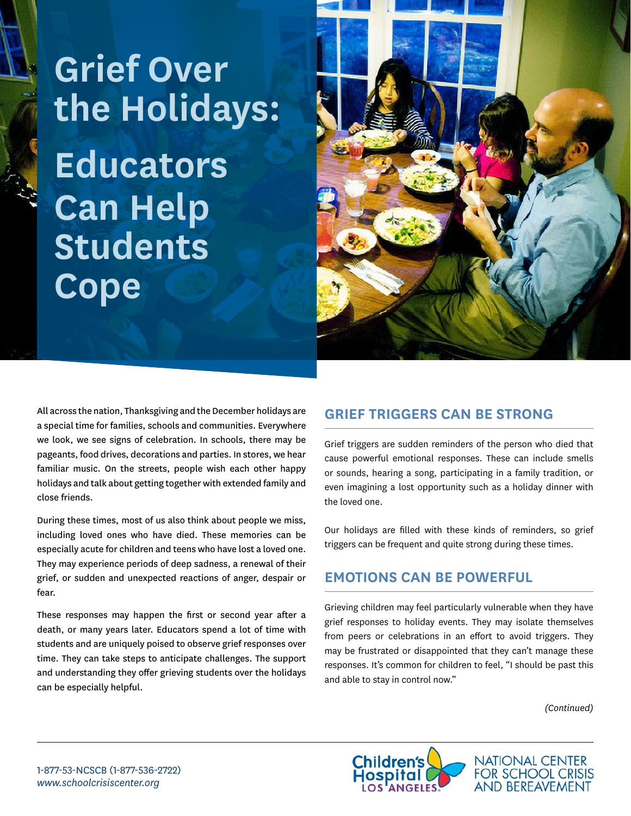# **Grief Over the Holidays:**

**Educators Can Help Students Cope**



All across the nation, Thanksgiving and the December holidays are a special time for families, schools and communities. Everywhere we look, we see signs of celebration. In schools, there may be pageants, food drives, decorations and parties. In stores, we hear familiar music. On the streets, people wish each other happy holidays and talk about getting together with extended family and close friends.

During these times, most of us also think about people we miss, including loved ones who have died. These memories can be especially acute for children and teens who have lost a loved one. They may experience periods of deep sadness, a renewal of their grief, or sudden and unexpected reactions of anger, despair or fear.

These responses may happen the first or second year after a death, or many years later. Educators spend a lot of time with students and are uniquely poised to observe grief responses over time. They can take steps to anticipate challenges. The support and understanding they offer grieving students over the holidays can be especially helpful.

### **GRIEF TRIGGERS CAN BE STRONG**

Grief triggers are sudden reminders of the person who died that cause powerful emotional responses. These can include smells or sounds, hearing a song, participating in a family tradition, or even imagining a lost opportunity such as a holiday dinner with the loved one.

Our holidays are filled with these kinds of reminders, so grief triggers can be frequent and quite strong during these times.

#### **EMOTIONS CAN BE POWERFUL**

Grieving children may feel particularly vulnerable when they have grief responses to holiday events. They may isolate themselves from peers or celebrations in an effort to avoid triggers. They may be frustrated or disappointed that they can't manage these responses. It's common for children to feel, "I should be past this and able to stay in control now."

*(Continued)*